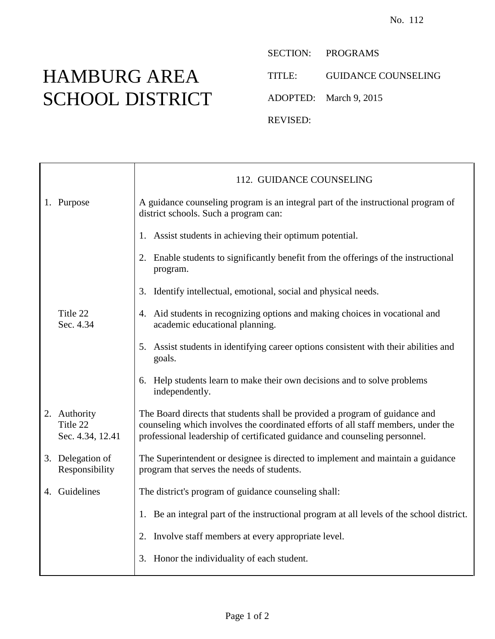## HAMBURG AREA SCHOOL DISTRICT

SECTION: PROGRAMS

TITLE: GUIDANCE COUNSELING

ADOPTED: March 9, 2015

REVISED:

|                                              | 112. GUIDANCE COUNSELING                                                                                                                                                                                                                       |
|----------------------------------------------|------------------------------------------------------------------------------------------------------------------------------------------------------------------------------------------------------------------------------------------------|
| 1. Purpose                                   | A guidance counseling program is an integral part of the instructional program of<br>district schools. Such a program can:                                                                                                                     |
|                                              | 1. Assist students in achieving their optimum potential.                                                                                                                                                                                       |
|                                              | 2. Enable students to significantly benefit from the offerings of the instructional<br>program.                                                                                                                                                |
|                                              | 3. Identify intellectual, emotional, social and physical needs.                                                                                                                                                                                |
| Title 22<br>Sec. 4.34                        | 4. Aid students in recognizing options and making choices in vocational and<br>academic educational planning.                                                                                                                                  |
|                                              | 5. Assist students in identifying career options consistent with their abilities and<br>goals.                                                                                                                                                 |
|                                              | 6. Help students learn to make their own decisions and to solve problems<br>independently.                                                                                                                                                     |
| 2. Authority<br>Title 22<br>Sec. 4.34, 12.41 | The Board directs that students shall be provided a program of guidance and<br>counseling which involves the coordinated efforts of all staff members, under the<br>professional leadership of certificated guidance and counseling personnel. |
| 3. Delegation of<br>Responsibility           | The Superintendent or designee is directed to implement and maintain a guidance<br>program that serves the needs of students.                                                                                                                  |
| 4. Guidelines                                | The district's program of guidance counseling shall:                                                                                                                                                                                           |
|                                              | 1. Be an integral part of the instructional program at all levels of the school district.                                                                                                                                                      |
|                                              | 2. Involve staff members at every appropriate level.                                                                                                                                                                                           |
|                                              | 3. Honor the individuality of each student.                                                                                                                                                                                                    |